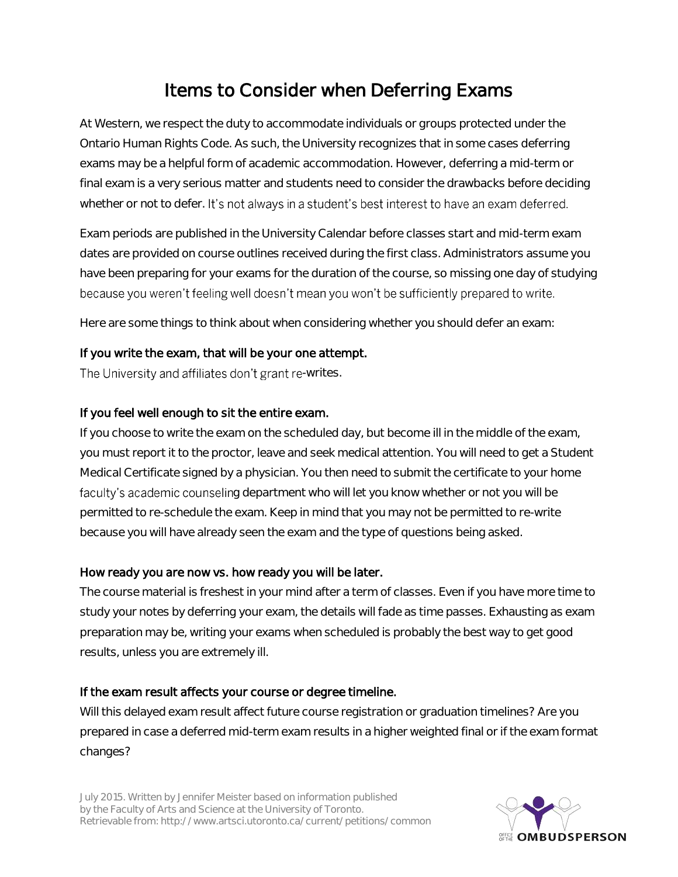# Items to Consider when Deferring Exams

At Western, we respect the duty to accommodate individuals or groups protected under the Ontario Human Rights Code. As such, the University recognizes that in some cases deferring exams may be a helpful form of academic accommodation. However, deferring a mid-term or final exam is a very serious matter and students need to consider the drawbacks before deciding whether or not to defer. It's not always in a student's best interest to have an exam deferred.

Exam periods are published in the University Calendar before classes start and mid-term exam dates are provided on course outlines received during the first class. Administrators assume you have been preparing for your exams for the duration of the course, so missing one day of studying because you weren't feeling well doesn't mean you won't be sufficiently prepared to write.

Here are some things to think about when considering whether you should defer an exam:

### If you write the exam, that will be your one attempt.

The University and affiliates don't grant re-writes.

## If you feel well enough to sit the entire exam.

If you choose to write the exam on the scheduled day, but become ill in the middle of the exam, you must report it to the proctor, leave and seek medical attention. You will need to get a Student Medical Certificate signed by a physician. You then need to submit the certificate to your home faculty's academic counseling department who will let you know whether or not you will be permitted to re-schedule the exam. Keep in mind that you may not be permitted to re-write because you will have already seen the exam and the type of questions being asked.

### How ready you are now vs. how ready you will be later.

The course material is freshest in your mind after a term of classes. Even if you have more time to study your notes by deferring your exam, the details will fade as time passes. Exhausting as exam preparation may be, writing your exams when scheduled is probably the best way to get good results, unless you are extremely ill.

### If the exam result affects your course or degree timeline.

Will this delayed exam result affect future course registration or graduation timelines? Are you prepared in case a deferred mid-term exam results in a higher weighted final or if the exam format changes?